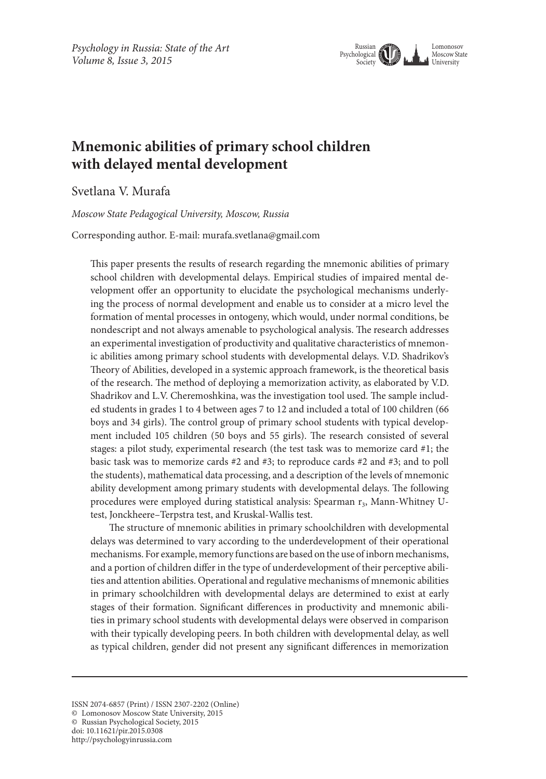

# **Mnemonic abilities of primary school children with delayed mental development**

Svetlana V. Murafa

*Moscow State Pedagogical University, Moscow, Russia*

Corresponding author. E-mail: murafa.svetlana@gmail.com

This paper presents the results of research regarding the mnemonic abilities of primary school children with developmental delays. Empirical studies of impaired mental development offer an opportunity to elucidate the psychological mechanisms underlying the process of normal development and enable us to consider at a micro level the formation of mental processes in ontogeny, which would, under normal conditions, be nondescript and not always amenable to psychological analysis. The research addresses an experimental investigation of productivity and qualitative characteristics of mnemonic abilities among primary school students with developmental delays. V.D. Shadrikov's Theory of Abilities, developed in a systemic approach framework, is the theoretical basis of the research. The method of deploying a memorization activity, as elaborated by V.D. Shadrikov and L.V. Cheremoshkina, was the investigation tool used. The sample included students in grades 1 to 4 between ages 7 to 12 and included a total of 100 children (66 boys and 34 girls). The control group of primary school students with typical development included 105 children (50 boys and 55 girls). The research consisted of several stages: a pilot study, experimental research (the test task was to memorize card #1; the basic task was to memorize cards #2 and #3; to reproduce cards #2 and #3; and to poll the students), mathematical data processing, and a description of the levels of mnemonic ability development among primary students with developmental delays. The following procedures were employed during statistical analysis: Spearman r<sub>3</sub>, Mann-Whitney Utest, Jonckheere–Terpstra test, and Kruskal-Wallis test.

The structure of mnemonic abilities in primary schoolchildren with developmental delays was determined to vary according to the underdevelopment of their operational mechanisms. For example, memory functions are based on the use of inborn mechanisms, and a portion of children differ in the type of underdevelopment of their perceptive abilities and attention abilities. Operational and regulative mechanisms of mnemonic abilities in primary schoolchildren with developmental delays are determined to exist at early stages of their formation. Significant differences in productivity and mnemonic abilities in primary school students with developmental delays were observed in comparison with their typically developing peers. In both children with developmental delay, as well as typical children, gender did not present any significant differences in memorization

doi: 10.11621/pir.2015.0308 http://psychologyinrussia.com

ISSN 2074-6857 (Print) / ISSN 2307-2202 (Online)

<sup>©</sup> Lomonosov Moscow State University, 2015

<sup>©</sup> Russian Psychological Society, 2015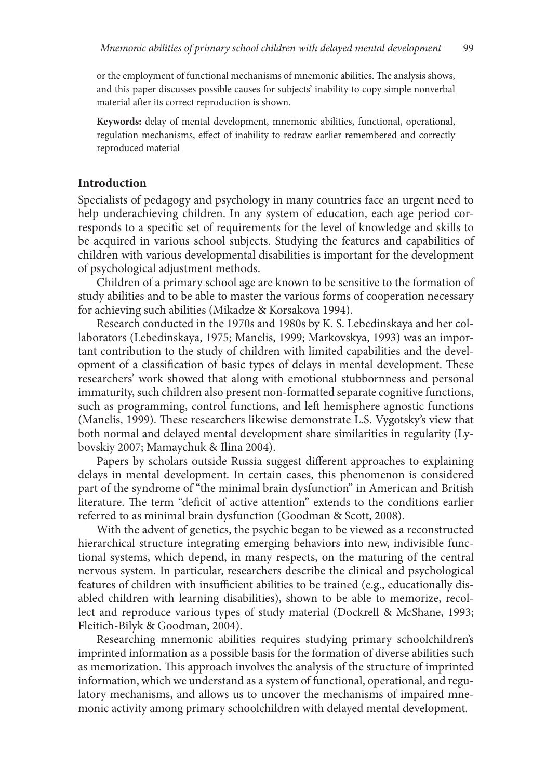or the employment of functional mechanisms of mnemonic abilities. The analysis shows, and this paper discusses possible causes for subjects' inability to copy simple nonverbal material after its correct reproduction is shown.

**Keywords:** delay of mental development, mnemonic abilities, functional, operational, regulation mechanisms, effect of inability to redraw earlier remembered and correctly reproduced material

#### **Introduction**

Specialists of pedagogy and psychology in many countries face an urgent need to help underachieving children. In any system of education, each age period corresponds to a specific set of requirements for the level of knowledge and skills to be acquired in various school subjects. Studying the features and capabilities of children with various developmental disabilities is important for the development of psychological adjustment methods.

Children of a primary school age are known to be sensitive to the formation of study abilities and to be able to master the various forms of cooperation necessary for achieving such abilities (Mikadze & Korsakova 1994).

Research conducted in the 1970s and 1980s by K. S. Lebedinskaya and her collaborators (Lebedinskaya, 1975; Manelis, 1999; Markovskya, 1993) was an important contribution to the study of children with limited capabilities and the development of a classification of basic types of delays in mental development. These researchers' work showed that along with emotional stubbornness and personal immaturity, such children also present non-formatted separate cognitive functions, such as programming, control functions, and left hemisphere agnostic functions (Manelis, 1999). These researchers likewise demonstrate L.S. Vygotsky's view that both normal and delayed mental development share similarities in regularity (Lybovskiy 2007; Mamaychuk & Ilina 2004).

Papers by scholars outside Russia suggest different approaches to explaining delays in mental development. In certain cases, this phenomenon is considered part of the syndrome of "the minimal brain dysfunction" in American and British literature. The term "deficit of active attention" extends to the conditions earlier referred to as minimal brain dysfunction (Goodman & Scott, 2008).

With the advent of genetics, the psychic began to be viewed as a reconstructed hierarchical structure integrating emerging behaviors into new, indivisible functional systems, which depend, in many respects, on the maturing of the central nervous system. In particular, researchers describe the clinical and psychological features of children with insufficient abilities to be trained (e.g., educationally disabled children with learning disabilities), shown to be able to memorize, recollect and reproduce various types of study material (Dockrell & McShane, 1993; Fleitich-Bilyk & Goodman, 2004).

Researching mnemonic abilities requires studying primary schoolchildren's imprinted information as a possible basis for the formation of diverse abilities such as memorization. This approach involves the analysis of the structure of imprinted information, which we understand as a system of functional, operational, and regulatory mechanisms, and allows us to uncover the mechanisms of impaired mnemonic activity among primary schoolchildren with delayed mental development.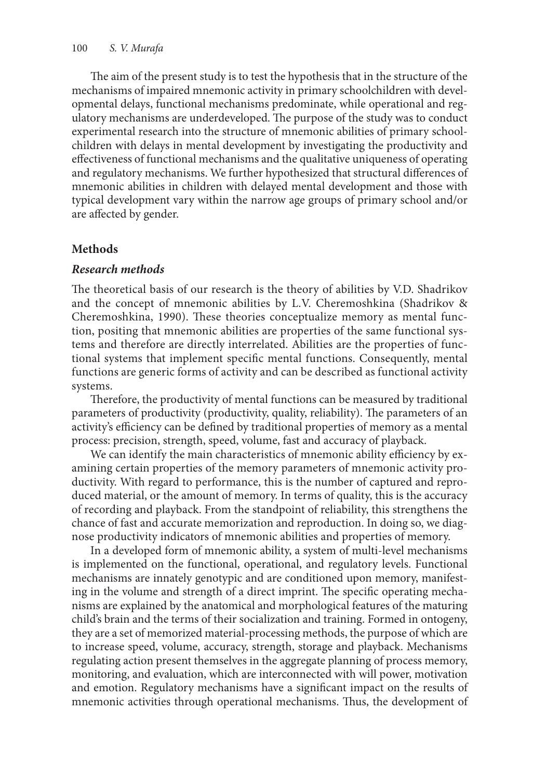The aim of the present study is to test the hypothesis that in the structure of the mechanisms of impaired mnemonic activity in primary schoolchildren with developmental delays, functional mechanisms predominate, while operational and regulatory mechanisms are underdeveloped. The purpose of the study was to conduct experimental research into the structure of mnemonic abilities of primary schoolchildren with delays in mental development by investigating the productivity and effectiveness of functional mechanisms and the qualitative uniqueness of operating and regulatory mechanisms. We further hypothesized that structural differences of mnemonic abilities in children with delayed mental development and those with typical development vary within the narrow age groups of primary school and/or are affected by gender.

#### **Methods**

#### *Research methods*

The theoretical basis of our research is the theory of abilities by V.D. Shadrikov and the concept of mnemonic abilities by L.V. Cheremoshkina (Shadrikov & Cheremoshkina, 1990). These theories conceptualize memory as mental function, positing that mnemonic abilities are properties of the same functional systems and therefore are directly interrelated. Abilities are the properties of functional systems that implement specific mental functions. Consequently, mental functions are generic forms of activity and can be described as functional activity systems.

Therefore, the productivity of mental functions can be measured by traditional parameters of productivity (productivity, quality, reliability). The parameters of an activity's efficiency can be defined by traditional properties of memory as a mental process: precision, strength, speed, volume, fast and accuracy of playback.

We can identify the main characteristics of mnemonic ability efficiency by examining certain properties of the memory parameters of mnemonic activity productivity. With regard to performance, this is the number of captured and reproduced material, or the amount of memory. In terms of quality, this is the accuracy of recording and playback. From the standpoint of reliability, this strengthens the chance of fast and accurate memorization and reproduction. In doing so, we diagnose productivity indicators of mnemonic abilities and properties of memory.

In a developed form of mnemonic ability, a system of multi-level mechanisms is implemented on the functional, operational, and regulatory levels. Functional mechanisms are innately genotypic and are conditioned upon memory, manifesting in the volume and strength of a direct imprint. The specific operating mechanisms are explained by the anatomical and morphological features of the maturing child's brain and the terms of their socialization and training. Formed in ontogeny, they are a set of memorized material-processing methods, the purpose of which are to increase speed, volume, accuracy, strength, storage and playback. Mechanisms regulating action present themselves in the aggregate planning of process memory, monitoring, and evaluation, which are interconnected with will power, motivation and emotion. Regulatory mechanisms have a significant impact on the results of mnemonic activities through operational mechanisms. Thus, the development of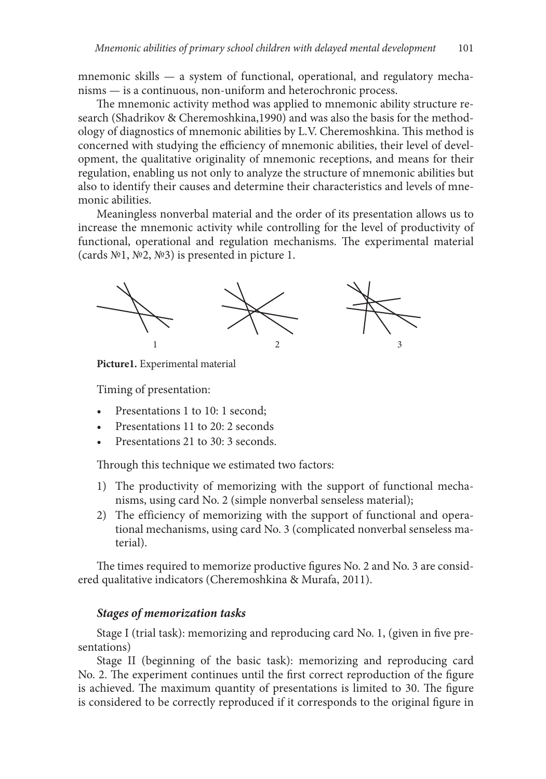mnemonic skills — a system of functional, operational, and regulatory mechanisms — is a continuous, non-uniform and heterochronic process.

The mnemonic activity method was applied to mnemonic ability structure research (Shadrikov & Cheremoshkina,1990) and was also the basis for the methodology of diagnostics of mnemonic abilities by L.V. Cheremoshkina. This method is concerned with studying the efficiency of mnemonic abilities, their level of development, the qualitative originality of mnemonic receptions, and means for their regulation, enabling us not only to analyze the structure of mnemonic abilities but also to identify their causes and determine their characteristics and levels of mnemonic abilities.

Meaningless nonverbal material and the order of its presentation allows us to increase the mnemonic activity while controlling for the level of productivity of functional, operational and regulation mechanisms. The experimental material (cards №1, №2, №3) is presented in picture 1.



**Picture1***.* Experimental material

Timing of presentation:

- Presentations 1 to 10: 1 second:
- Presentations 11 to 20: 2 seconds
- Presentations 21 to 30: 3 seconds.

Through this technique we estimated two factors:

- 1) The productivity of memorizing with the support of functional mechanisms, using card No. 2 (simple nonverbal senseless material);
- 2) The efficiency of memorizing with the support of functional and operational mechanisms, using card No. 3 (complicated nonverbal senseless material).

The times required to memorize productive figures No. 2 and No. 3 are considered qualitative indicators (Cheremoshkina & Murafa, 2011).

#### *Stages of memorization tasks*

Stage I (trial task): memorizing and reproducing card No. 1, (given in five presentations)

Stage II (beginning of the basic task): memorizing and reproducing card No. 2. The experiment continues until the first correct reproduction of the figure is achieved. The maximum quantity of presentations is limited to 30. The figure is considered to be correctly reproduced if it corresponds to the original figure in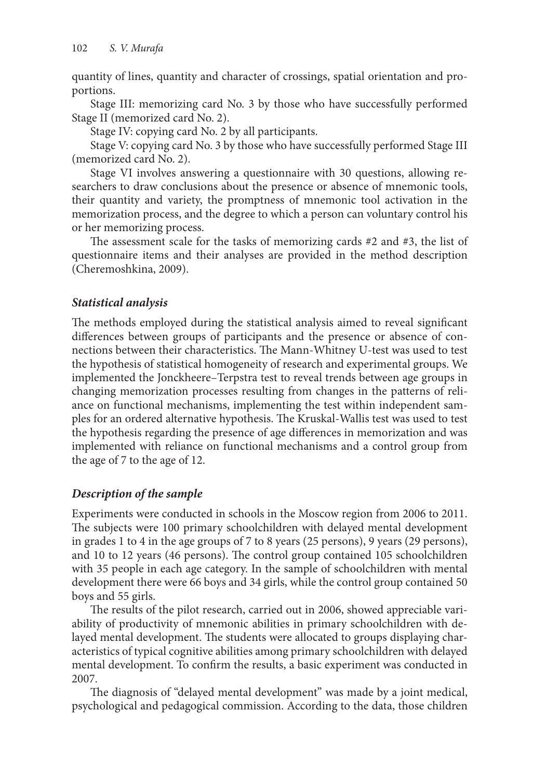quantity of lines, quantity and character of crossings, spatial orientation and proportions.

Stage III: memorizing card No. 3 by those who have successfully performed Stage II (memorized card No. 2).

Stage IV: copying card No. 2 by all participants.

Stage V: copying card No. 3 by those who have successfully performed Stage III (memorized card No. 2).

Stage VI involves answering a questionnaire with 30 questions, allowing researchers to draw conclusions about the presence or absence of mnemonic tools, their quantity and variety, the promptness of mnemonic tool activation in the memorization process, and the degree to which a person can voluntary control his or her memorizing process.

The assessment scale for the tasks of memorizing cards #2 and #3, the list of questionnaire items and their analyses are provided in the method description (Cheremoshkina, 2009).

## *Statistical analysis*

The methods employed during the statistical analysis aimed to reveal significant differences between groups of participants and the presence or absence of connections between their characteristics. The Mann-Whitney U-test was used to test the hypothesis of statistical homogeneity of research and experimental groups. We implemented the Jonckheere–Terpstra test to reveal trends between age groups in changing memorization processes resulting from changes in the patterns of reliance on functional mechanisms, implementing the test within independent samples for an ordered alternative hypothesis. The Kruskal-Wallis test was used to test the hypothesis regarding the presence of age differences in memorization and was implemented with reliance on functional mechanisms and a control group from the age of 7 to the age of 12.

## *Description of the sample*

Experiments were conducted in schools in the Moscow region from 2006 to 2011. The subjects were 100 primary schoolchildren with delayed mental development in grades 1 to 4 in the age groups of 7 to 8 years (25 persons), 9 years (29 persons), and 10 to 12 years (46 persons). The control group contained 105 schoolchildren with 35 people in each age category. In the sample of schoolchildren with mental development there were 66 boys and 34 girls, while the control group contained 50 boys and 55 girls.

The results of the pilot research, carried out in 2006, showed appreciable variability of productivity of mnemonic abilities in primary schoolchildren with delayed mental development. The students were allocated to groups displaying characteristics of typical cognitive abilities among primary schoolchildren with delayed mental development. To confirm the results, a basic experiment was conducted in 2007.

The diagnosis of "delayed mental development" was made by a joint medical, psychological and pedagogical commission. According to the data, those children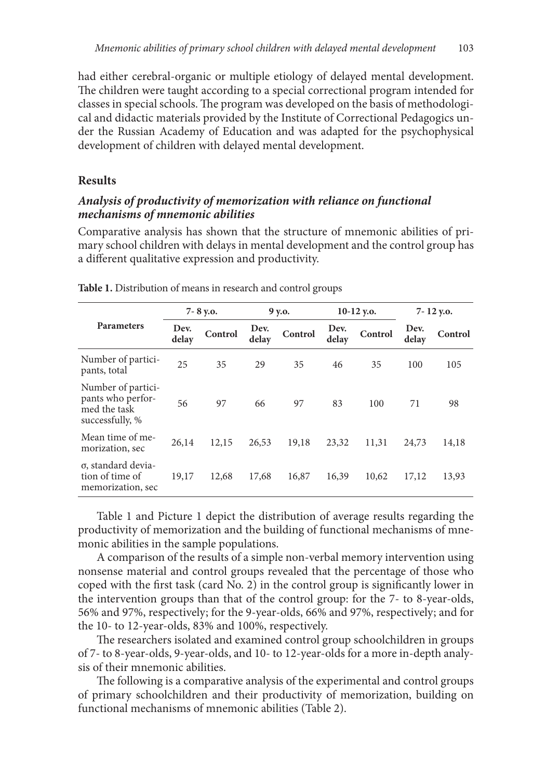had either cerebral-organic or multiple etiology of delayed mental development. The children were taught according to a special correctional program intended for classes in special schools. The program was developed on the basis of methodological and didactic materials provided by the Institute of Correctional Pedagogics under the Russian Academy of Education and was adapted for the psychophysical development of children with delayed mental development.

## **Results**

## *Analysis of productivity of memorization with reliance on functional mechanisms of mnemonic abilities*

Comparative analysis has shown that the structure of mnemonic abilities of primary school children with delays in mental development and the control group has a different qualitative expression and productivity.

|                                                                            | 7-8 y.o.      |         | 9 y.o.        |         | $10-12$ y.o.  |         | $7 - 12$ y.o. |         |
|----------------------------------------------------------------------------|---------------|---------|---------------|---------|---------------|---------|---------------|---------|
| <b>Parameters</b>                                                          | Dev.<br>delay | Control | Dev.<br>delay | Control | Dev.<br>delay | Control | Dev.<br>delay | Control |
| Number of partici-<br>pants, total                                         | 25            | 35      | 29            | 35      | 46            | 35      | 100           | 105     |
| Number of partici-<br>pants who perfor-<br>med the task<br>successfully, % | 56            | 97      | 66            | 97      | 83            | 100     | 71            | 98      |
| Mean time of me-<br>morization, sec                                        | 26,14         | 12,15   | 26,53         | 19,18   | 23,32         | 11,31   | 24,73         | 14,18   |
| σ, standard devia-<br>tion of time of<br>memorization, sec                 | 19,17         | 12,68   | 17,68         | 16,87   | 16,39         | 10,62   | 17,12         | 13,93   |

**Table 1.** Distribution of means in research and control groups

Table 1 and Picture 1 depict the distribution of average results regarding the productivity of memorization and the building of functional mechanisms of mnemonic abilities in the sample populations.

A comparison of the results of a simple non-verbal memory intervention using nonsense material and control groups revealed that the percentage of those who coped with the first task (card No. 2) in the control group is significantly lower in the intervention groups than that of the control group: for the 7- to 8-year-olds, 56% and 97%, respectively; for the 9-year-olds, 66% and 97%, respectively; and for the 10- to 12-year-olds, 83% and 100%, respectively.

The researchers isolated and examined control group schoolchildren in groups of 7- to 8-year-olds, 9-year-olds, and 10- to 12-year-olds for a more in-depth analysis of their mnemonic abilities.

The following is a comparative analysis of the experimental and control groups of primary schoolchildren and their productivity of memorization, building on functional mechanisms of mnemonic abilities (Table 2).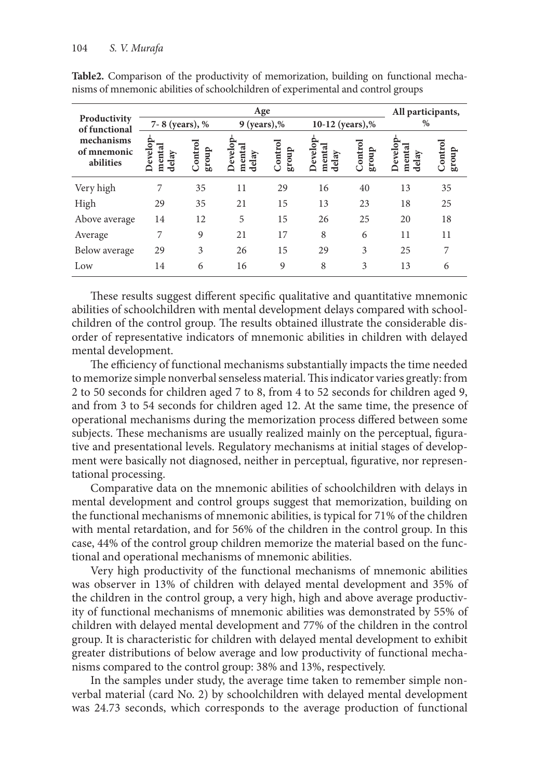| Productivity                           | Age                       |                  |                            |                  |                           |                  | All participants,          |                  |
|----------------------------------------|---------------------------|------------------|----------------------------|------------------|---------------------------|------------------|----------------------------|------------------|
| of functional                          | 7-8 (years), %            |                  | $9$ (years),%              |                  | 10-12 (years),%           |                  | $\%$                       |                  |
| mechanisms<br>of mnemonic<br>abilities | Develop<br>menta<br>delay | Control<br>group | Develop<br>mental<br>delay | Control<br>group | Develoj<br>menta<br>delay | Control<br>group | Develop<br>mental<br>delay | Control<br>dno.f |
| Very high                              | 7                         | 35               | 11                         | 29               | 16                        | 40               | 13                         | 35               |
| High                                   | 29                        | 35               | 21                         | 15               | 13                        | 23               | 18                         | 25               |
| Above average                          | 14                        | 12               | 5                          | 15               | 26                        | 25               | 20                         | 18               |
| Average                                | 7                         | 9                | 21                         | 17               | 8                         | 6                | 11                         | 11               |
| Below average                          | 29                        | 3                | 26                         | 15               | 29                        | 3                | 25                         | 7                |
| Low                                    | 14                        | 6                | 16                         | 9                | 8                         | 3                | 13                         | 6                |

**Table2.** Comparison of the productivity of memorization, building on functional mechanisms of mnemonic abilities of schoolchildren of experimental and control groups

These results suggest different specific qualitative and quantitative mnemonic abilities of schoolchildren with mental development delays compared with schoolchildren of the control group. The results obtained illustrate the considerable disorder of representative indicators of mnemonic abilities in children with delayed mental development.

The efficiency of functional mechanisms substantially impacts the time needed to memorize simple nonverbal senseless material. This indicator varies greatly: from 2 to 50 seconds for children aged 7 to 8, from 4 to 52 seconds for children aged 9, and from 3 to 54 seconds for children aged 12. At the same time, the presence of operational mechanisms during the memorization process differed between some subjects. These mechanisms are usually realized mainly on the perceptual, figurative and presentational levels. Regulatory mechanisms at initial stages of development were basically not diagnosed, neither in perceptual, figurative, nor representational processing.

Comparative data on the mnemonic abilities of schoolchildren with delays in mental development and control groups suggest that memorization, building on the functional mechanisms of mnemonic abilities, is typical for 71% of the children with mental retardation, and for 56% of the children in the control group. In this case, 44% of the control group children memorize the material based on the functional and operational mechanisms of mnemonic abilities.

Very high productivity of the functional mechanisms of mnemonic abilities was observer in 13% of children with delayed mental development and 35% of the children in the control group, a very high, high and above average productivity of functional mechanisms of mnemonic abilities was demonstrated by 55% of children with delayed mental development and 77% of the children in the control group. It is characteristic for children with delayed mental development to exhibit greater distributions of below average and low productivity of functional mechanisms compared to the control group: 38% and 13%, respectively.

In the samples under study, the average time taken to remember simple nonverbal material (card No. 2) by schoolchildren with delayed mental development was 24.73 seconds, which corresponds to the average production of functional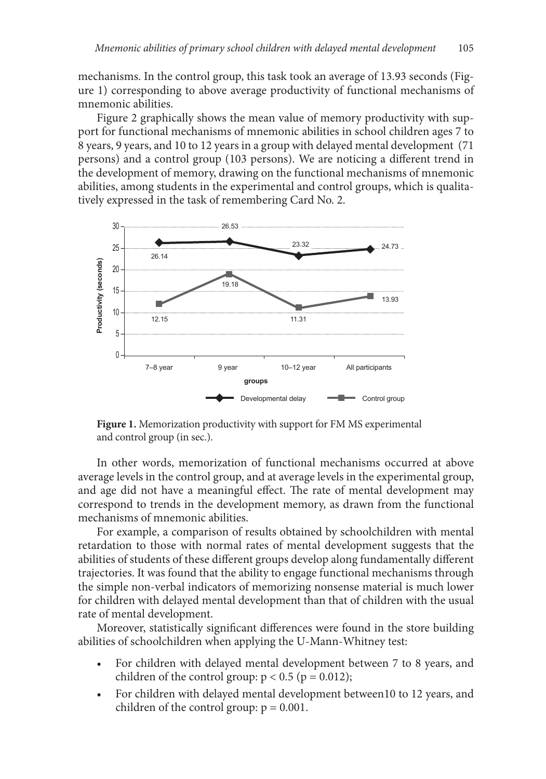mechanisms. In the control group, this task took an average of 13.93 seconds (Figure 1) corresponding to above average productivity of functional mechanisms of mnemonic abilities.

Figure 2 graphically shows the mean value of memory productivity with support for functional mechanisms of mnemonic abilities in school children ages 7 to 8 years, 9 years, and 10 to 12 years in a group with delayed mental development (71 persons) and a control group (103 persons). We are noticing a different trend in the development of memory, drawing on the functional mechanisms of mnemonic abilities, among students in the experimental and control groups, which is qualitatively expressed in the task of remembering Card No. 2.



**Figure 1.** Memorization productivity with support for FM MS experimental and control group (in sec.).

In other words, memorization of functional mechanisms occurred at above average levels in the control group, and at average levels in the experimental group, and age did not have a meaningful effect. The rate of mental development may correspond to trends in the development memory, as drawn from the functional mechanisms of mnemonic abilities.

For example, a comparison of results obtained by schoolchildren with mental retardation to those with normal rates of mental development suggests that the abilities of students of these different groups develop along fundamentally different trajectories. It was found that the ability to engage functional mechanisms through the simple non-verbal indicators of memorizing nonsense material is much lower for children with delayed mental development than that of children with the usual rate of mental development.

Moreover, statistically significant differences were found in the store building abilities of schoolchildren when applying the U-Mann-Whitney test:

- For children with delayed mental development between 7 to 8 years, and children of the control group:  $p < 0.5$  ( $p = 0.012$ );
- For children with delayed mental development between10 to 12 years, and children of the control group:  $p = 0.001$ .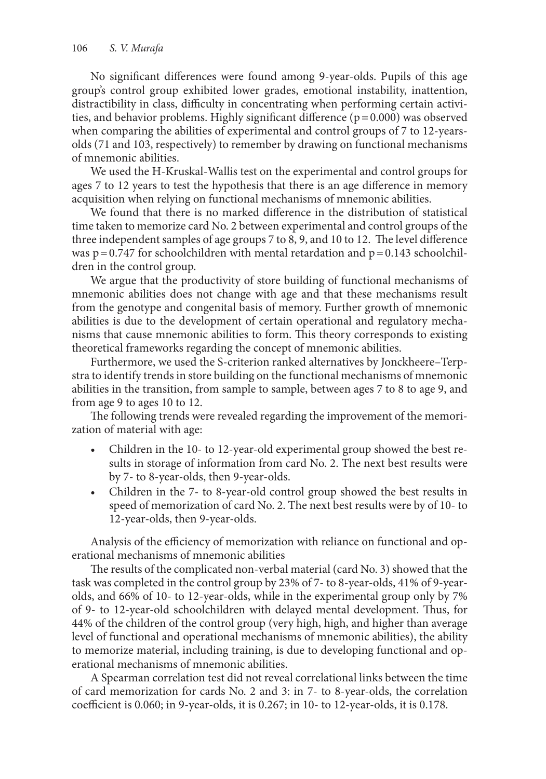No significant differences were found among 9-year-olds. Pupils of this age group's control group exhibited lower grades, emotional instability, inattention, distractibility in class, difficulty in concentrating when performing certain activities, and behavior problems. Highly significant difference  $(p=0.000)$  was observed when comparing the abilities of experimental and control groups of 7 to 12-yearsolds (71 and 103, respectively) to remember by drawing on functional mechanisms of mnemonic abilities.

We used the H-Kruskal-Wallis test on the experimental and control groups for ages 7 to 12 years to test the hypothesis that there is an age difference in memory acquisition when relying on functional mechanisms of mnemonic abilities.

We found that there is no marked difference in the distribution of statistical time taken to memorize card No. 2 between experimental and control groups of the three independent samples of age groups 7 to 8, 9, and 10 to 12. The level difference was  $p = 0.747$  for schoolchildren with mental retardation and  $p = 0.143$  schoolchildren in the control group.

We argue that the productivity of store building of functional mechanisms of mnemonic abilities does not change with age and that these mechanisms result from the genotype and congenital basis of memory. Further growth of mnemonic abilities is due to the development of certain operational and regulatory mechanisms that cause mnemonic abilities to form. This theory corresponds to existing theoretical frameworks regarding the concept of mnemonic abilities.

Furthermore, we used the S-criterion ranked alternatives by Jonckheere–Terpstra to identify trends in store building on the functional mechanisms of mnemonic abilities in the transition, from sample to sample, between ages 7 to 8 to age 9, and from age 9 to ages 10 to 12.

The following trends were revealed regarding the improvement of the memorization of material with age:

- Children in the 10- to 12-year-old experimental group showed the best results in storage of information from card No. 2. The next best results were by 7- to 8-year-olds, then 9-year-olds.
- • Children in the 7- to 8-year-old control group showed the best results in speed of memorization of card No. 2. The next best results were by of 10- to 12-year-olds, then 9-year-olds.

Analysis of the efficiency of memorization with reliance on functional and operational mechanisms of mnemonic abilities

The results of the complicated non-verbal material (card No. 3) showed that the task was completed in the control group by 23% of 7- to 8-year-olds, 41% of 9-yearolds, and 66% of 10- to 12-year-olds, while in the experimental group only by 7% of 9- to 12-year-old schoolchildren with delayed mental development. Thus, for 44% of the children of the control group (very high, high, and higher than average level of functional and operational mechanisms of mnemonic abilities), the ability to memorize material, including training, is due to developing functional and operational mechanisms of mnemonic abilities.

A Spearman correlation test did not reveal correlational links between the time of card memorization for cards No. 2 and 3: in 7- to 8-year-olds, the correlation coefficient is 0.060; in 9-year-olds, it is 0.267; in 10- to 12-year-olds, it is 0.178.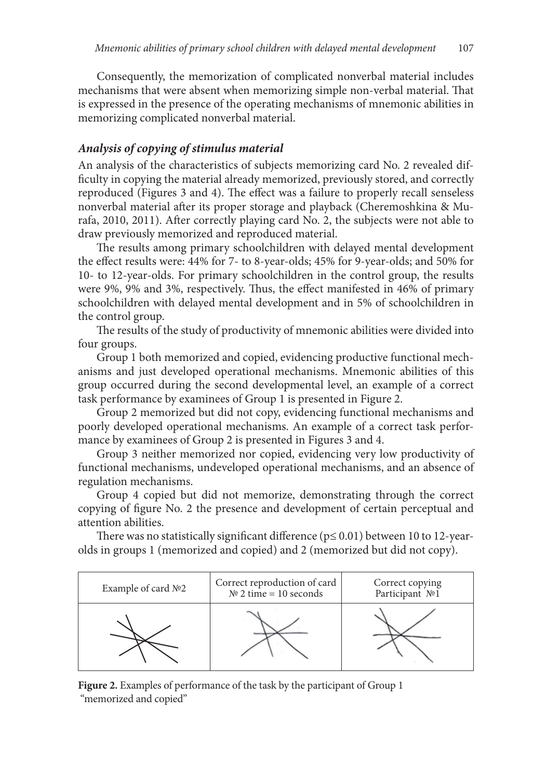Consequently, the memorization of complicated nonverbal material includes mechanisms that were absent when memorizing simple non-verbal material. That is expressed in the presence of the operating mechanisms of mnemonic abilities in memorizing complicated nonverbal material.

#### *Analysis of copying of stimulus material*

An analysis of the characteristics of subjects memorizing card No. 2 revealed difficulty in copying the material already memorized, previously stored, and correctly reproduced (Figures 3 and 4). The effect was a failure to properly recall senseless nonverbal material after its proper storage and playback (Cheremoshkina & Murafa, 2010, 2011). After correctly playing card No. 2, the subjects were not able to draw previously memorized and reproduced material.

The results among primary schoolchildren with delayed mental development the effect results were: 44% for 7- to 8-year-olds; 45% for 9-year-olds; and 50% for 10- to 12-year-olds. For primary schoolchildren in the control group, the results were 9%, 9% and 3%, respectively. Thus, the effect manifested in 46% of primary schoolchildren with delayed mental development and in 5% of schoolchildren in the control group.

The results of the study of productivity of mnemonic abilities were divided into four groups.

Group 1 both memorized and copied, evidencing productive functional mechanisms and just developed operational mechanisms. Mnemonic abilities of this group occurred during the second developmental level, an example of a correct task performance by examinees of Group 1 is presented in Figure 2.

Group 2 memorized but did not copy, evidencing functional mechanisms and poorly developed operational mechanisms. An example of a correct task performance by examinees of Group 2 is presented in Figures 3 and 4.

Group 3 neither memorized nor copied, evidencing very low productivity of functional mechanisms, undeveloped operational mechanisms, and an absence of regulation mechanisms.

Group 4 copied but did not memorize, demonstrating through the correct copying of figure No. 2 the presence and development of certain perceptual and attention abilities.

There was no statistically significant difference ( $p \le 0.01$ ) between 10 to 12-yearolds in groups 1 (memorized and copied) and 2 (memorized but did not copy).



**Figure 2.** Examples of performance of the task by the participant of Group 1 "memorized and copied"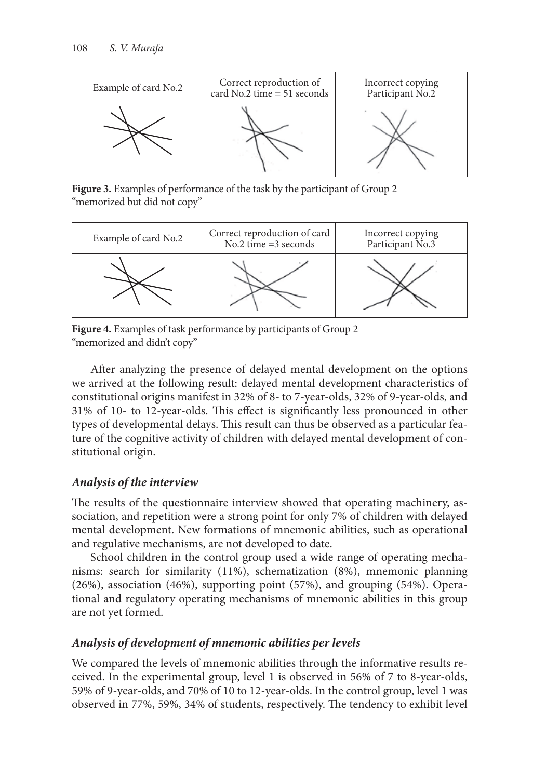| Example of card No.2 | Correct reproduction of<br>card No.2 time $= 51$ seconds | Incorrect copying<br>Participant No.2 |
|----------------------|----------------------------------------------------------|---------------------------------------|
|                      |                                                          |                                       |

**Figure 3.** Examples of performance of the task by the participant of Group 2 "memorized but did not copy"



**Figure 4.** Examples of task performance by participants of Group 2 "memorized and didn't copy"

After analyzing the presence of delayed mental development on the options we arrived at the following result: delayed mental development characteristics of constitutional origins manifest in 32% of 8- to 7-year-olds, 32% of 9-year-olds, and 31% of 10- to 12-year-olds. This effect is significantly less pronounced in other types of developmental delays. This result can thus be observed as a particular feature of the cognitive activity of children with delayed mental development of constitutional origin.

## *Analysis of the interview*

The results of the questionnaire interview showed that operating machinery, association, and repetition were a strong point for only 7% of children with delayed mental development. New formations of mnemonic abilities, such as operational and regulative mechanisms, are not developed to date.

School children in the control group used a wide range of operating mechanisms: search for similarity (11%), schematization (8%), mnemonic planning (26%), association (46%), supporting point (57%), and grouping (54%). Operational and regulatory operating mechanisms of mnemonic abilities in this group are not yet formed.

## *Analysis of development of mnemonic abilities per levels*

We compared the levels of mnemonic abilities through the informative results received. In the experimental group, level 1 is observed in 56% of 7 to 8-year-olds, 59% of 9-year-olds, and 70% of 10 to 12-year-olds. In the control group, level 1 was observed in 77%, 59%, 34% of students, respectively. The tendency to exhibit level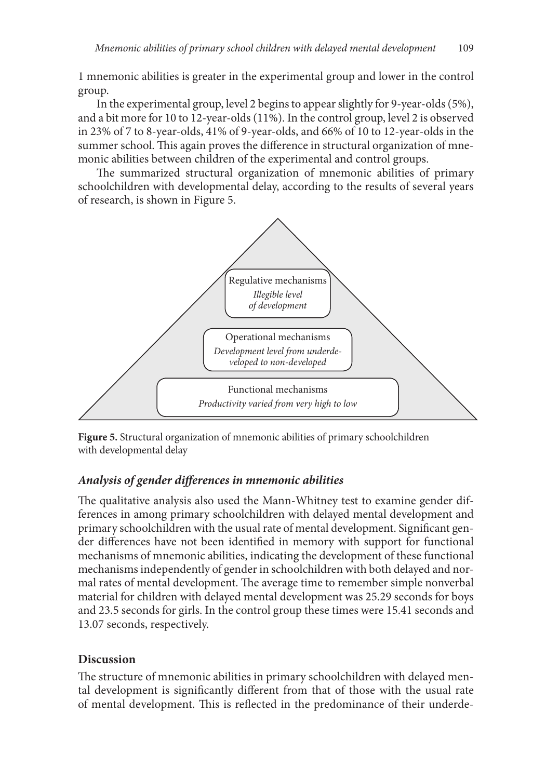1 mnemonic abilities is greater in the experimental group and lower in the control group.

In the experimental group, level 2 begins to appear slightly for 9-year-olds (5%), and a bit more for 10 to 12-year-olds (11%). In the control group, level 2 is observed in 23% of 7 to 8-year-olds, 41% of 9-year-olds, and 66% of 10 to 12-year-olds in the summer school. This again proves the difference in structural organization of mnemonic abilities between children of the experimental and control groups.

The summarized structural organization of mnemonic abilities of primary schoolchildren with developmental delay, according to the results of several years of research, is shown in Figure 5.



**Figure 5.** Structural organization of mnemonic abilities of primary schoolchildren with developmental delay

## *Analysis of gender differences in mnemonic abilities*

The qualitative analysis also used the Mann-Whitney test to examine gender differences in among primary schoolchildren with delayed mental development and primary schoolchildren with the usual rate of mental development. Significant gender differences have not been identified in memory with support for functional mechanisms of mnemonic abilities, indicating the development of these functional mechanisms independently of gender in schoolchildren with both delayed and normal rates of mental development. The average time to remember simple nonverbal material for children with delayed mental development was 25.29 seconds for boys and 23.5 seconds for girls. In the control group these times were 15.41 seconds and 13.07 seconds, respectively.

## **Discussion**

The structure of mnemonic abilities in primary schoolchildren with delayed mental development is significantly different from that of those with the usual rate of mental development. This is reflected in the predominance of their underde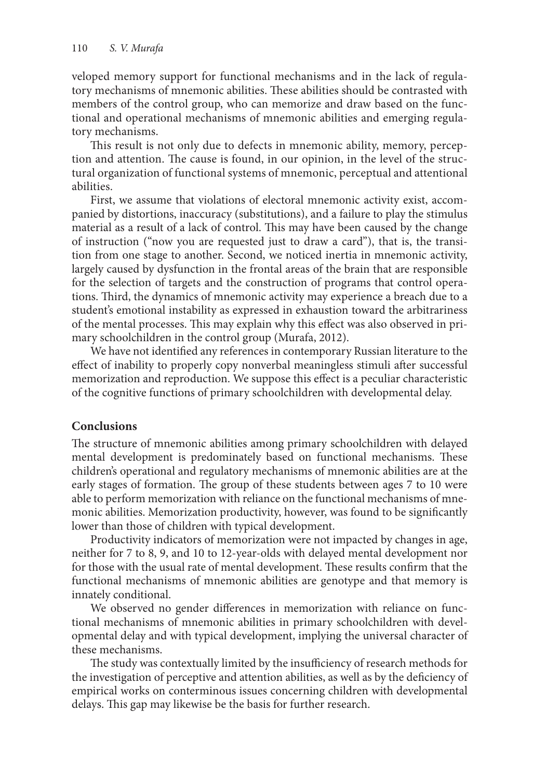veloped memory support for functional mechanisms and in the lack of regulatory mechanisms of mnemonic abilities. These abilities should be contrasted with members of the control group, who can memorize and draw based on the functional and operational mechanisms of mnemonic abilities and emerging regulatory mechanisms.

This result is not only due to defects in mnemonic ability, memory, perception and attention. The cause is found, in our opinion, in the level of the structural organization of functional systems of mnemonic, perceptual and attentional abilities.

First, we assume that violations of electoral mnemonic activity exist, accompanied by distortions, inaccuracy (substitutions), and a failure to play the stimulus material as a result of a lack of control. This may have been caused by the change of instruction ("now you are requested just to draw a card"), that is, the transition from one stage to another. Second, we noticed inertia in mnemonic activity, largely caused by dysfunction in the frontal areas of the brain that are responsible for the selection of targets and the construction of programs that control operations. Third, the dynamics of mnemonic activity may experience a breach due to a student's emotional instability as expressed in exhaustion toward the arbitrariness of the mental processes. This may explain why this effect was also observed in primary schoolchildren in the control group (Murafa, 2012).

We have not identified any references in contemporary Russian literature to the effect of inability to properly copy nonverbal meaningless stimuli after successful memorization and reproduction. We suppose this effect is a peculiar characteristic of the cognitive functions of primary schoolchildren with developmental delay.

## **Conclusions**

The structure of mnemonic abilities among primary schoolchildren with delayed mental development is predominately based on functional mechanisms. These children's operational and regulatory mechanisms of mnemonic abilities are at the early stages of formation. The group of these students between ages 7 to 10 were able to perform memorization with reliance on the functional mechanisms of mnemonic abilities. Memorization productivity, however, was found to be significantly lower than those of children with typical development.

Productivity indicators of memorization were not impacted by changes in age, neither for 7 to 8, 9, and 10 to 12-year-olds with delayed mental development nor for those with the usual rate of mental development. These results confirm that the functional mechanisms of mnemonic abilities are genotype and that memory is innately conditional.

We observed no gender differences in memorization with reliance on functional mechanisms of mnemonic abilities in primary schoolchildren with developmental delay and with typical development, implying the universal character of these mechanisms.

The study was contextually limited by the insufficiency of research methods for the investigation of perceptive and attention abilities, as well as by the deficiency of empirical works on conterminous issues concerning children with developmental delays. This gap may likewise be the basis for further research.